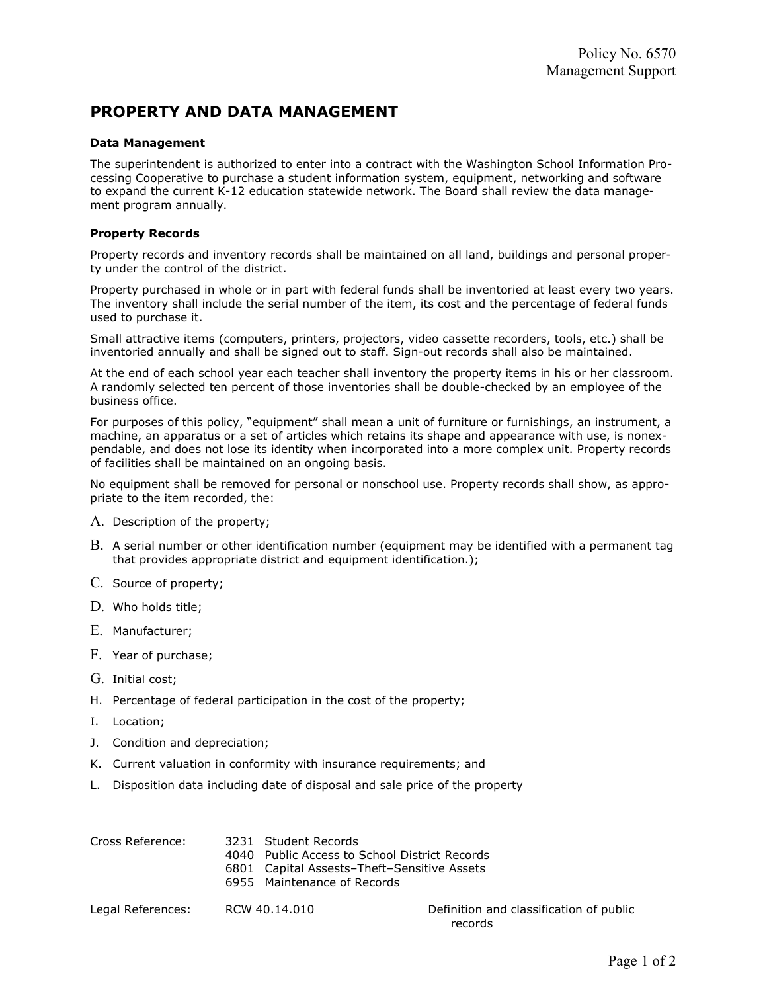## PROPERTY AND DATA MANAGEMENT

## Data Management

The superintendent is authorized to enter into a contract with the Washington School Information Processing Cooperative to purchase a student information system, equipment, networking and software to expand the current K-12 education statewide network. The Board shall review the data management program annually.

## Property Records

Property records and inventory records shall be maintained on all land, buildings and personal property under the control of the district.

Property purchased in whole or in part with federal funds shall be inventoried at least every two years. The inventory shall include the serial number of the item, its cost and the percentage of federal funds used to purchase it.

Small attractive items (computers, printers, projectors, video cassette recorders, tools, etc.) shall be inventoried annually and shall be signed out to staff. Sign-out records shall also be maintained.

At the end of each school year each teacher shall inventory the property items in his or her classroom. A randomly selected ten percent of those inventories shall be double-checked by an employee of the business office.

For purposes of this policy, "equipment" shall mean a unit of furniture or furnishings, an instrument, a machine, an apparatus or a set of articles which retains its shape and appearance with use, is nonexpendable, and does not lose its identity when incorporated into a more complex unit. Property records of facilities shall be maintained on an ongoing basis.

No equipment shall be removed for personal or nonschool use. Property records shall show, as appropriate to the item recorded, the:

- A. Description of the property;
- B. A serial number or other identification number (equipment may be identified with a permanent tag that provides appropriate district and equipment identification.);
- C. Source of property;
- D. Who holds title;
- E. Manufacturer;
- F. Year of purchase;
- G. Initial cost;
- H. Percentage of federal participation in the cost of the property;
- I. Location;
- J. Condition and depreciation;
- K. Current valuation in conformity with insurance requirements; and
- L. Disposition data including date of disposal and sale price of the property

| Cross Reference:  | 3231 Student Records<br>4040 Public Access to School District Records<br>6801 Capital Assests-Theft-Sensitive Assets<br>6955 Maintenance of Records |                |
|-------------------|-----------------------------------------------------------------------------------------------------------------------------------------------------|----------------|
| Legal References: | RCW 40.14.010                                                                                                                                       | Definition and |

classification of public records